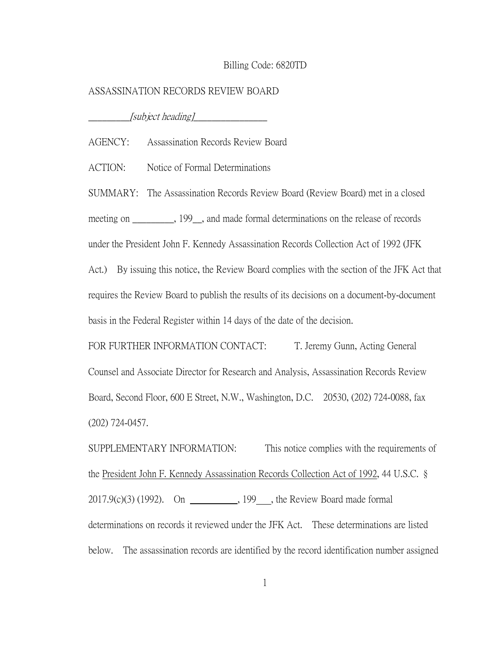## Billing Code: 6820TD

## ASSASSINATION RECORDS REVIEW BOARD

 $\_[subject\,\,heading]\_\_$ 

AGENCY: Assassination Records Review Board

ACTION: Notice of Formal Determinations

SUMMARY: The Assassination Records Review Board (Review Board) met in a closed meeting on \_\_\_\_\_\_\_\_, 199\_, and made formal determinations on the release of records

under the President John F. Kennedy Assassination Records Collection Act of 1992 (JFK

Act.) By issuing this notice, the Review Board complies with the section of the JFK Act that requires the Review Board to publish the results of its decisions on a document-by-document

basis in the Federal Register within 14 days of the date of the decision.

FOR FURTHER INFORMATION CONTACT: T. Jeremy Gunn, Acting General Counsel and Associate Director for Research and Analysis, Assassination Records Review Board, Second Floor, 600 E Street, N.W., Washington, D.C. 20530, (202) 724-0088, fax (202) 724-0457.

SUPPLEMENTARY INFORMATION: This notice complies with the requirements of the President John F. Kennedy Assassination Records Collection Act of 1992, 44 U.S.C. §  $2017.9(c)(3)$  (1992). On  $\frac{199}{2}$ , 199, the Review Board made formal determinations on records it reviewed under the JFK Act. These determinations are listed below. The assassination records are identified by the record identification number assigned